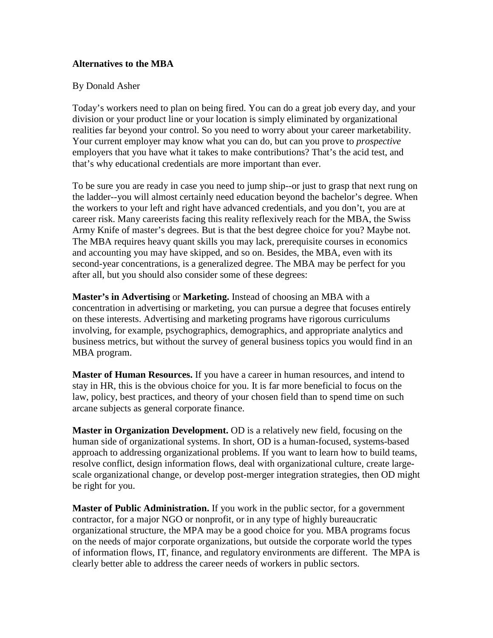## **Alternatives to the MBA**

## By Donald Asher

Today's workers need to plan on being fired. You can do a great job every day, and your division or your product line or your location is simply eliminated by organizational realities far beyond your control. So you need to worry about your career marketability. Your current employer may know what you can do, but can you prove to *prospective*  employers that you have what it takes to make contributions? That's the acid test, and that's why educational credentials are more important than ever.

To be sure you are ready in case you need to jump ship--or just to grasp that next rung on the ladder--you will almost certainly need education beyond the bachelor's degree. When the workers to your left and right have advanced credentials, and you don't, you are at career risk. Many careerists facing this reality reflexively reach for the MBA, the Swiss Army Knife of master's degrees. But is that the best degree choice for you? Maybe not. The MBA requires heavy quant skills you may lack, prerequisite courses in economics and accounting you may have skipped, and so on. Besides, the MBA, even with its second-year concentrations, is a generalized degree. The MBA may be perfect for you after all, but you should also consider some of these degrees:

**Master's in Advertising** or **Marketing.** Instead of choosing an MBA with a concentration in advertising or marketing, you can pursue a degree that focuses entirely on these interests. Advertising and marketing programs have rigorous curriculums involving, for example, psychographics, demographics, and appropriate analytics and business metrics, but without the survey of general business topics you would find in an MBA program.

**Master of Human Resources.** If you have a career in human resources, and intend to stay in HR, this is the obvious choice for you. It is far more beneficial to focus on the law, policy, best practices, and theory of your chosen field than to spend time on such arcane subjects as general corporate finance.

**Master in Organization Development.** OD is a relatively new field, focusing on the human side of organizational systems. In short, OD is a human-focused, systems-based approach to addressing organizational problems. If you want to learn how to build teams, resolve conflict, design information flows, deal with organizational culture, create largescale organizational change, or develop post-merger integration strategies, then OD might be right for you.

**Master of Public Administration.** If you work in the public sector, for a government contractor, for a major NGO or nonprofit, or in any type of highly bureaucratic organizational structure, the MPA may be a good choice for you. MBA programs focus on the needs of major corporate organizations, but outside the corporate world the types of information flows, IT, finance, and regulatory environments are different. The MPA is clearly better able to address the career needs of workers in public sectors.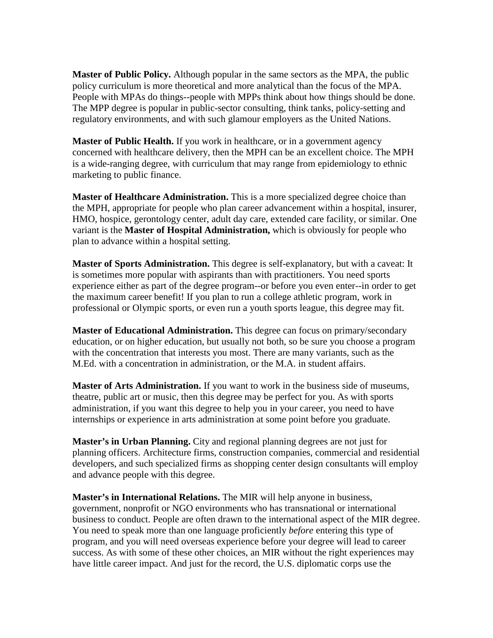**Master of Public Policy.** Although popular in the same sectors as the MPA, the public policy curriculum is more theoretical and more analytical than the focus of the MPA. People with MPAs do things--people with MPPs think about how things should be done. The MPP degree is popular in public-sector consulting, think tanks, policy-setting and regulatory environments, and with such glamour employers as the United Nations.

**Master of Public Health.** If you work in healthcare, or in a government agency concerned with healthcare delivery, then the MPH can be an excellent choice. The MPH is a wide-ranging degree, with curriculum that may range from epidemiology to ethnic marketing to public finance.

**Master of Healthcare Administration.** This is a more specialized degree choice than the MPH, appropriate for people who plan career advancement within a hospital, insurer, HMO, hospice, gerontology center, adult day care, extended care facility, or similar. One variant is the **Master of Hospital Administration,** which is obviously for people who plan to advance within a hospital setting.

**Master of Sports Administration.** This degree is self-explanatory, but with a caveat: It is sometimes more popular with aspirants than with practitioners. You need sports experience either as part of the degree program--or before you even enter--in order to get the maximum career benefit! If you plan to run a college athletic program, work in professional or Olympic sports, or even run a youth sports league, this degree may fit.

**Master of Educational Administration.** This degree can focus on primary/secondary education, or on higher education, but usually not both, so be sure you choose a program with the concentration that interests you most. There are many variants, such as the M.Ed. with a concentration in administration, or the M.A. in student affairs.

**Master of Arts Administration.** If you want to work in the business side of museums, theatre, public art or music, then this degree may be perfect for you. As with sports administration, if you want this degree to help you in your career, you need to have internships or experience in arts administration at some point before you graduate.

**Master's in Urban Planning.** City and regional planning degrees are not just for planning officers. Architecture firms, construction companies, commercial and residential developers, and such specialized firms as shopping center design consultants will employ and advance people with this degree.

**Master's in International Relations.** The MIR will help anyone in business, government, nonprofit or NGO environments who has transnational or international business to conduct. People are often drawn to the international aspect of the MIR degree. You need to speak more than one language proficiently *before* entering this type of program, and you will need overseas experience before your degree will lead to career success. As with some of these other choices, an MIR without the right experiences may have little career impact. And just for the record, the U.S. diplomatic corps use the